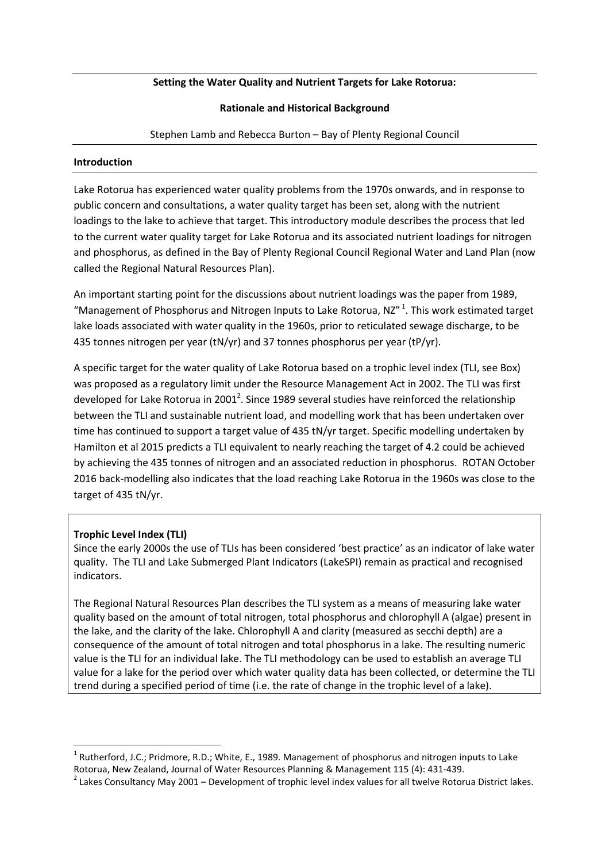### **Setting the Water Quality and Nutrient Targets for Lake Rotorua:**

### **Rationale and Historical Background**

Stephen Lamb and Rebecca Burton – Bay of Plenty Regional Council

#### **Introduction**

Lake Rotorua has experienced water quality problems from the 1970s onwards, and in response to public concern and consultations, a water quality target has been set, along with the nutrient loadings to the lake to achieve that target. This introductory module describes the process that led to the current water quality target for Lake Rotorua and its associated nutrient loadings for nitrogen and phosphorus, as defined in the Bay of Plenty Regional Council Regional Water and Land Plan (now called the Regional Natural Resources Plan).

An important starting point for the discussions about nutrient loadings was the paper from 1989, "Management of Phosphorus and Nitrogen Inputs to Lake Rotorua, NZ" $1$ . This work estimated target lake loads associated with water quality in the 1960s, prior to reticulated sewage discharge, to be 435 tonnes nitrogen per year (tN/yr) and 37 tonnes phosphorus per year (tP/yr).

A specific target for the water quality of Lake Rotorua based on a trophic level index (TLI, see Box) was proposed as a regulatory limit under the Resource Management Act in 2002. The TLI was first developed for Lake Rotorua in 2001<sup>2</sup>. Since 1989 several studies have reinforced the relationship between the TLI and sustainable nutrient load, and modelling work that has been undertaken over time has continued to support a target value of 435 tN/yr target. Specific modelling undertaken by Hamilton et al 2015 predicts a TLI equivalent to nearly reaching the target of 4.2 could be achieved by achieving the 435 tonnes of nitrogen and an associated reduction in phosphorus. ROTAN October 2016 back-modelling also indicates that the load reaching Lake Rotorua in the 1960s was close to the target of 435 tN/yr.

# **Trophic Level Index (TLI)**

 $\overline{a}$ 

Since the early 2000s the use of TLIs has been considered 'best practice' as an indicator of lake water quality. The TLI and Lake Submerged Plant Indicators (LakeSPI) remain as practical and recognised indicators.

The Regional Natural Resources Plan describes the TLI system as a means of measuring lake water quality based on the amount of total nitrogen, total phosphorus and chlorophyll A (algae) present in the lake, and the clarity of the lake. Chlorophyll A and clarity (measured as secchi depth) are a consequence of the amount of total nitrogen and total phosphorus in a lake. The resulting numeric value is the TLI for an individual lake. The TLI methodology can be used to establish an average TLI value for a lake for the period over which water quality data has been collected, or determine the TLI trend during a specified period of time (i.e. the rate of change in the trophic level of a lake).

<sup>&</sup>lt;sup>1</sup> Rutherford, J.C.; Pridmore, R.D.; White, E., 1989. Management of phosphorus and nitrogen inputs to Lake Rotorua, New Zealand, Journal of Water Resources Planning & Management 115 (4): 431-439.

 $^2$  Lakes Consultancy May 2001 – Development of trophic level index values for all twelve Rotorua District lakes.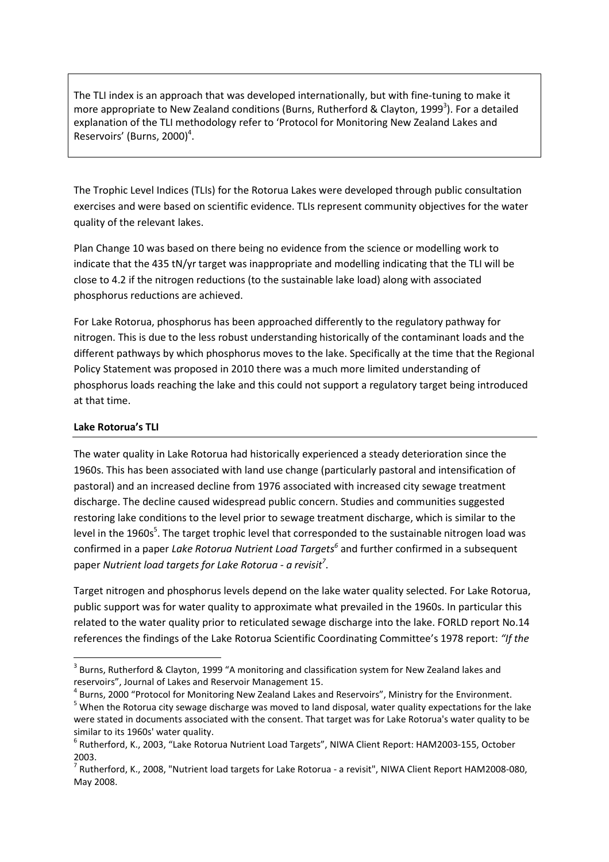The TLI index is an approach that was developed internationally, but with fine-tuning to make it more appropriate to New Zealand conditions (Burns, Rutherford & Clayton, 1999<sup>3</sup>). For a detailed explanation of the TLI methodology refer to 'Protocol for Monitoring New Zealand Lakes and Reservoirs' (Burns, 2000)<sup>4</sup>.

The Trophic Level Indices (TLIs) for the Rotorua Lakes were developed through public consultation exercises and were based on scientific evidence. TLIs represent community objectives for the water quality of the relevant lakes.

Plan Change 10 was based on there being no evidence from the science or modelling work to indicate that the 435 tN/yr target was inappropriate and modelling indicating that the TLI will be close to 4.2 if the nitrogen reductions (to the sustainable lake load) along with associated phosphorus reductions are achieved.

For Lake Rotorua, phosphorus has been approached differently to the regulatory pathway for nitrogen. This is due to the less robust understanding historically of the contaminant loads and the different pathways by which phosphorus moves to the lake. Specifically at the time that the Regional Policy Statement was proposed in 2010 there was a much more limited understanding of phosphorus loads reaching the lake and this could not support a regulatory target being introduced at that time.

### **Lake Rotorua's TLI**

 $\overline{a}$ 

The water quality in Lake Rotorua had historically experienced a steady deterioration since the 1960s. This has been associated with land use change (particularly pastoral and intensification of pastoral) and an increased decline from 1976 associated with increased city sewage treatment discharge. The decline caused widespread public concern. Studies and communities suggested restoring lake conditions to the level prior to sewage treatment discharge, which is similar to the level in the 1960s<sup>5</sup>. The target trophic level that corresponded to the sustainable nitrogen load was confirmed in a paper *Lake Rotorua Nutrient Load Targets<sup>6</sup>* and further confirmed in a subsequent paper *Nutrient load targets for Lake Rotorua - a revisit<sup>7</sup>* .

Target nitrogen and phosphorus levels depend on the lake water quality selected. For Lake Rotorua, public support was for water quality to approximate what prevailed in the 1960s. In particular this related to the water quality prior to reticulated sewage discharge into the lake. FORLD report No.14 references the findings of the Lake Rotorua Scientific Coordinating Committee's 1978 report: *"If the* 

<sup>4</sup> Burns, 2000 "Protocol for Monitoring New Zealand Lakes and Reservoirs", Ministry for the Environment.

 $3$  Burns, Rutherford & Clayton, 1999 "A monitoring and classification system for New Zealand lakes and reservoirs", Journal of Lakes and Reservoir Management 15.

<sup>&</sup>lt;sup>5</sup> When the Rotorua city sewage discharge was moved to land disposal, water quality expectations for the lake were stated in documents associated with the consent. That target was for Lake Rotorua's water quality to be similar to its 1960s' water quality.

<sup>6</sup> Rutherford, K., 2003, "Lake Rotorua Nutrient Load Targets", NIWA Client Report: HAM2003-155, October 2003.

<sup>&</sup>lt;sup>7</sup> Rutherford, K., 2008, "Nutrient load targets for Lake Rotorua - a revisit", NIWA Client Report HAM2008-080, May 2008.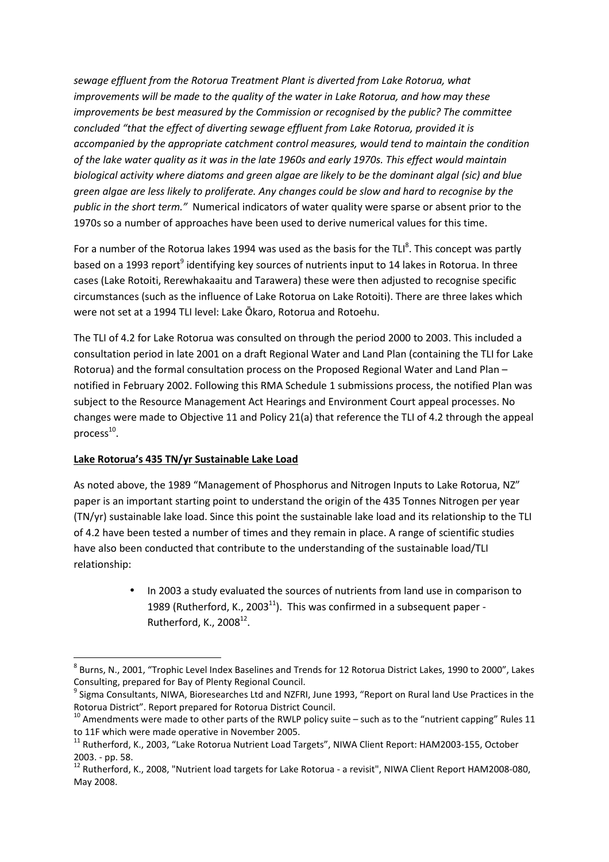*sewage effluent from the Rotorua Treatment Plant is diverted from Lake Rotorua, what improvements will be made to the quality of the water in Lake Rotorua, and how may these improvements be best measured by the Commission or recognised by the public? The committee concluded "that the effect of diverting sewage effluent from Lake Rotorua, provided it is accompanied by the appropriate catchment control measures, would tend to maintain the condition of the lake water quality as it was in the late 1960s and early 1970s. This effect would maintain biological activity where diatoms and green algae are likely to be the dominant algal (sic) and blue green algae are less likely to proliferate. Any changes could be slow and hard to recognise by the public in the short term."* Numerical indicators of water quality were sparse or absent prior to the 1970s so a number of approaches have been used to derive numerical values for this time.

For a number of the Rotorua lakes 1994 was used as the basis for the TLI<sup>8</sup>. This concept was partly based on a 1993 report<sup>9</sup> identifying key sources of nutrients input to 14 lakes in Rotorua. In three cases (Lake Rotoiti, Rerewhakaaitu and Tarawera) these were then adjusted to recognise specific circumstances (such as the influence of Lake Rotorua on Lake Rotoiti). There are three lakes which were not set at a 1994 TLI level: Lake Ōkaro, Rotorua and Rotoehu.

The TLI of 4.2 for Lake Rotorua was consulted on through the period 2000 to 2003. This included a consultation period in late 2001 on a draft Regional Water and Land Plan (containing the TLI for Lake Rotorua) and the formal consultation process on the Proposed Regional Water and Land Plan – notified in February 2002. Following this RMA Schedule 1 submissions process, the notified Plan was subject to the Resource Management Act Hearings and Environment Court appeal processes. No changes were made to Objective 11 and Policy 21(a) that reference the TLI of 4.2 through the appeal process $^{10}$ .

# **Lake Rotorua's 435 TN/yr Sustainable Lake Load**

 $\overline{a}$ 

As noted above, the 1989 "Management of Phosphorus and Nitrogen Inputs to Lake Rotorua, NZ" paper is an important starting point to understand the origin of the 435 Tonnes Nitrogen per year (TN/yr) sustainable lake load. Since this point the sustainable lake load and its relationship to the TLI of 4.2 have been tested a number of times and they remain in place. A range of scientific studies have also been conducted that contribute to the understanding of the sustainable load/TLI relationship:

> • In 2003 a study evaluated the sources of nutrients from land use in comparison to 1989 (Rutherford, K., 2003 $^{11}$ ). This was confirmed in a subsequent paper -Rutherford, K., 2008 $^{12}$ .

 $^8$  Burns, N., 2001, "Trophic Level Index Baselines and Trends for 12 Rotorua District Lakes, 1990 to 2000", Lakes Consulting, prepared for Bay of Plenty Regional Council.

<sup>&</sup>lt;sup>9</sup> Sigma Consultants, NIWA, Bioresearches Ltd and NZFRI, June 1993, "Report on Rural land Use Practices in the Rotorua District". Report prepared for Rotorua District Council.

 $10$  Amendments were made to other parts of the RWLP policy suite – such as to the "nutrient capping" Rules 11 to 11F which were made operative in November 2005.

<sup>&</sup>lt;sup>11</sup> Rutherford, K., 2003, "Lake Rotorua Nutrient Load Targets", NIWA Client Report: HAM2003-155, October 2003. - pp. 58.

<sup>&</sup>lt;sup>12</sup> Rutherford, K., 2008, "Nutrient load targets for Lake Rotorua - a revisit", NIWA Client Report HAM2008-080, May 2008.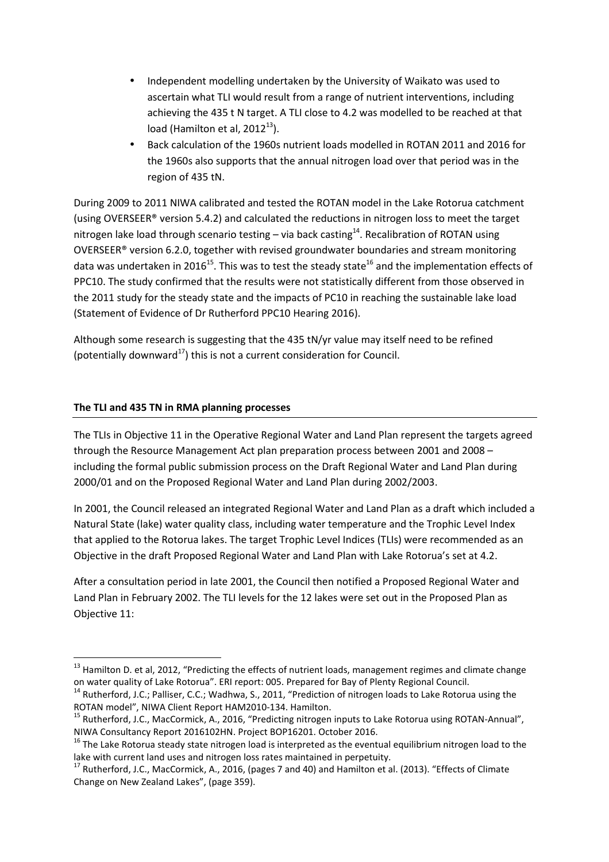- Independent modelling undertaken by the University of Waikato was used to ascertain what TLI would result from a range of nutrient interventions, including achieving the 435 t N target. A TLI close to 4.2 was modelled to be reached at that load (Hamilton et al,  $2012^{13}$ ).
- Back calculation of the 1960s nutrient loads modelled in ROTAN 2011 and 2016 for the 1960s also supports that the annual nitrogen load over that period was in the region of 435 tN.

During 2009 to 2011 NIWA calibrated and tested the ROTAN model in the Lake Rotorua catchment (using OVERSEER® version 5.4.2) and calculated the reductions in nitrogen loss to meet the target nitrogen lake load through scenario testing  $-$  via back casting<sup>14</sup>. Recalibration of ROTAN using OVERSEER® version 6.2.0, together with revised groundwater boundaries and stream monitoring data was undertaken in 2016<sup>15</sup>. This was to test the steady state<sup>16</sup> and the implementation effects of PPC10. The study confirmed that the results were not statistically different from those observed in the 2011 study for the steady state and the impacts of PC10 in reaching the sustainable lake load (Statement of Evidence of Dr Rutherford PPC10 Hearing 2016).

Although some research is suggesting that the 435 tN/yr value may itself need to be refined (potentially downward<sup>17</sup>) this is not a current consideration for Council.

# **The TLI and 435 TN in RMA planning processes**

 $\overline{a}$ 

The TLIs in Objective 11 in the Operative Regional Water and Land Plan represent the targets agreed through the Resource Management Act plan preparation process between 2001 and 2008 – including the formal public submission process on the Draft Regional Water and Land Plan during 2000/01 and on the Proposed Regional Water and Land Plan during 2002/2003.

In 2001, the Council released an integrated Regional Water and Land Plan as a draft which included a Natural State (lake) water quality class, including water temperature and the Trophic Level Index that applied to the Rotorua lakes. The target Trophic Level Indices (TLIs) were recommended as an Objective in the draft Proposed Regional Water and Land Plan with Lake Rotorua's set at 4.2.

After a consultation period in late 2001, the Council then notified a Proposed Regional Water and Land Plan in February 2002. The TLI levels for the 12 lakes were set out in the Proposed Plan as Objective 11:

<sup>&</sup>lt;sup>13</sup> Hamilton D. et al, 2012, "Predicting the effects of nutrient loads, management regimes and climate change on water quality of Lake Rotorua". ERI report: 005. Prepared for Bay of Plenty Regional Council.

<sup>&</sup>lt;sup>14</sup> Rutherford, J.C.; Palliser, C.C.; Wadhwa, S., 2011, "Prediction of nitrogen loads to Lake Rotorua using the ROTAN model", NIWA Client Report HAM2010-134. Hamilton.

<sup>&</sup>lt;sup>15</sup> Rutherford, J.C., MacCormick, A., 2016, "Predicting nitrogen inputs to Lake Rotorua using ROTAN-Annual", NIWA Consultancy Report 2016102HN. Project BOP16201. October 2016.

<sup>&</sup>lt;sup>16</sup> The Lake Rotorua steady state nitrogen load is interpreted as the eventual equilibrium nitrogen load to the lake with current land uses and nitrogen loss rates maintained in perpetuity.

<sup>&</sup>lt;sup>17</sup> Rutherford, J.C., MacCormick, A., 2016, (pages 7 and 40) and Hamilton et al. (2013). "Effects of Climate Change on New Zealand Lakes", (page 359).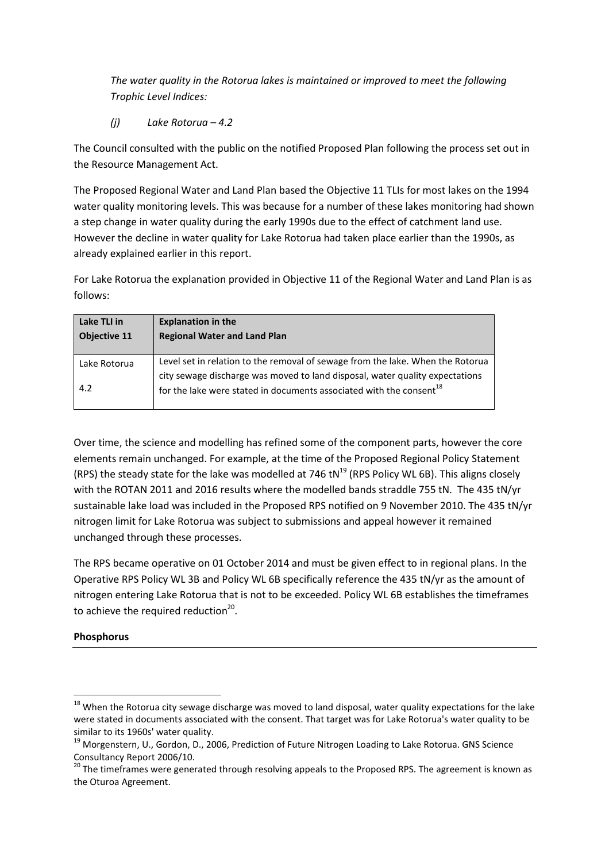*The water quality in the Rotorua lakes is maintained or improved to meet the following Trophic Level Indices:* 

*(j) Lake Rotorua – 4.2*

The Council consulted with the public on the notified Proposed Plan following the process set out in the Resource Management Act.

The Proposed Regional Water and Land Plan based the Objective 11 TLIs for most lakes on the 1994 water quality monitoring levels. This was because for a number of these lakes monitoring had shown a step change in water quality during the early 1990s due to the effect of catchment land use. However the decline in water quality for Lake Rotorua had taken place earlier than the 1990s, as already explained earlier in this report.

For Lake Rotorua the explanation provided in Objective 11 of the Regional Water and Land Plan is as follows:

| Lake TLI in<br><b>Objective 11</b> | <b>Explanation in the</b><br><b>Regional Water and Land Plan</b>                                                                                                |
|------------------------------------|-----------------------------------------------------------------------------------------------------------------------------------------------------------------|
| Lake Rotorua                       | Level set in relation to the removal of sewage from the lake. When the Rotorua                                                                                  |
| 4.2                                | city sewage discharge was moved to land disposal, water quality expectations<br>for the lake were stated in documents associated with the consent <sup>18</sup> |

Over time, the science and modelling has refined some of the component parts, however the core elements remain unchanged. For example, at the time of the Proposed Regional Policy Statement (RPS) the steady state for the lake was modelled at 746 tN $^{19}$  (RPS Policy WL 6B). This aligns closely with the ROTAN 2011 and 2016 results where the modelled bands straddle 755 tN. The 435 tN/yr sustainable lake load was included in the Proposed RPS notified on 9 November 2010. The 435 tN/yr nitrogen limit for Lake Rotorua was subject to submissions and appeal however it remained unchanged through these processes.

The RPS became operative on 01 October 2014 and must be given effect to in regional plans. In the Operative RPS Policy WL 3B and Policy WL 6B specifically reference the 435 tN/yr as the amount of nitrogen entering Lake Rotorua that is not to be exceeded. Policy WL 6B establishes the timeframes to achieve the required reduction<sup>20</sup>.

# **Phosphorus**

l

<sup>&</sup>lt;sup>18</sup> When the Rotorua city sewage discharge was moved to land disposal, water quality expectations for the lake were stated in documents associated with the consent. That target was for Lake Rotorua's water quality to be similar to its 1960s' water quality.

<sup>&</sup>lt;sup>19</sup> Morgenstern, U., Gordon, D., 2006, Prediction of Future Nitrogen Loading to Lake Rotorua. GNS Science Consultancy Report 2006/10.

<sup>&</sup>lt;sup>20</sup> The timeframes were generated through resolving appeals to the Proposed RPS. The agreement is known as the Oturoa Agreement.